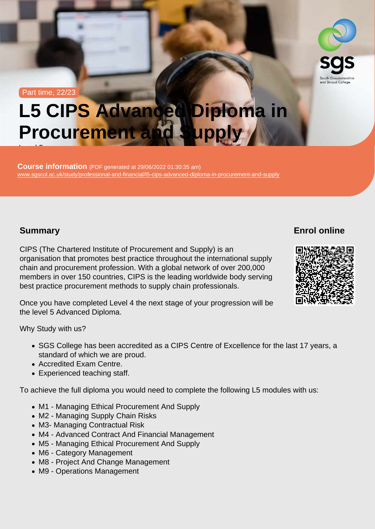#### Part time, 22/23

# L5 CIPS Advanced Diploma in Procurement and Supply

Course information (PDF generated at 29/06/2022 01:30:35 am) [www.sgscol.ac.uk/study/professional-and-financial/l5-cips-advanced-diploma-in-procurement-and-supply](https://www.sgscol.ac.uk/study/professional-and-financial/l5-cips-advanced-diploma-in-procurement-and-supply)

## Summary

Level 5

Enrol online

CIPS (The Chartered Institute of Procurement and Supply) is an organisation that promotes best practice throughout the international supply chain and procurement profession. With a global network of over 200,000 members in over 150 countries, CIPS is the leading worldwide body serving best practice procurement methods to supply chain professionals.

Once you have completed Level 4 the next stage of your progression will be the level 5 Advanced Diploma.

Why Study with us?

- SGS College has been accredited as a CIPS Centre of Excellence for the last 17 years, a standard of which we are proud.
- Accredited Exam Centre.
- Experienced teaching staff.

To achieve the full diploma you would need to complete the following L5 modules with us:

- M1 Managing Ethical Procurement And Supply
- M2 Managing Supply Chain Risks
- M3- Managing Contractual Risk
- M4 Advanced Contract And Financial Management
- M5 Managing Ethical Procurement And Supply
- M6 Category Management
- M8 Project And Change Management
- M9 Operations Management